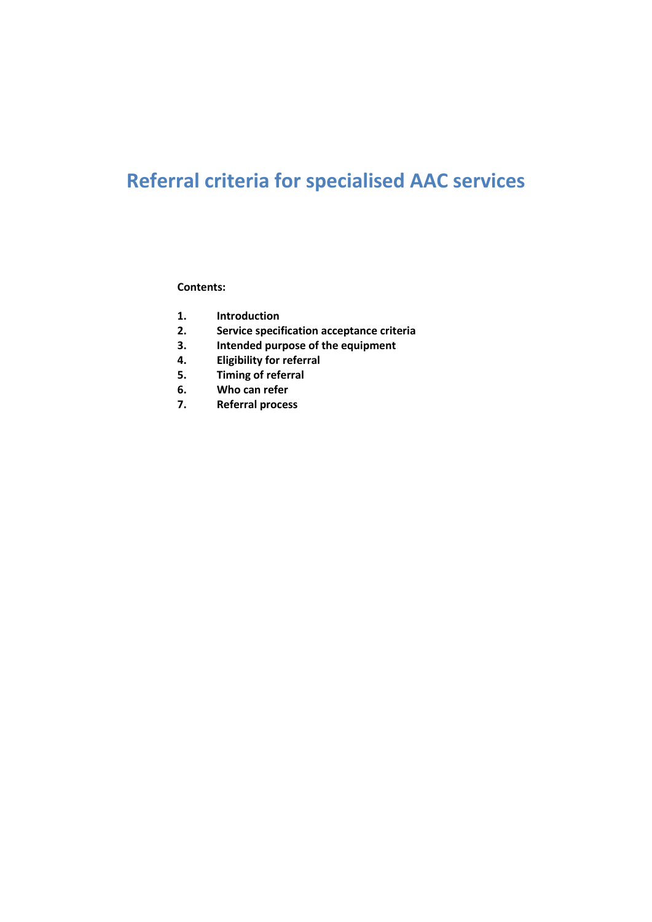# **Referral criteria for specialised AAC services**

#### **Contents:**

- **1. Introduction**
- **2. Service specification acceptance criteria**
- **3. Intended purpose of the equipment**
- **4. Eligibility for referral**
- **5. Timing of referral**
- **6. Who can refer**
- **7. Referral process**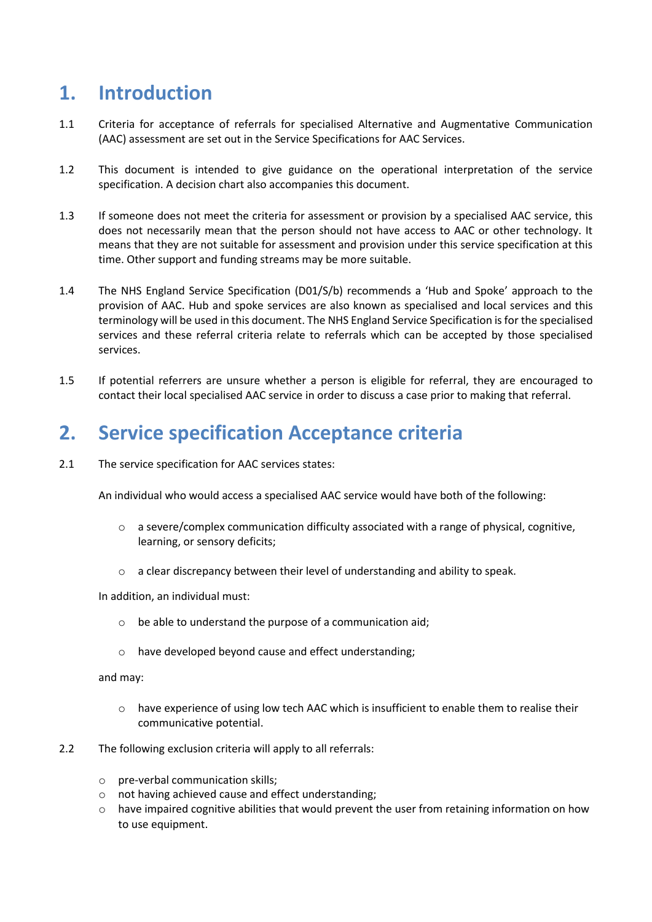## **1. Introduction**

- 1.1 Criteria for acceptance of referrals for specialised Alternative and Augmentative Communication (AAC) assessment are set out in the Service Specifications for AAC Services.
- 1.2 This document is intended to give guidance on the operational interpretation of the service specification. A decision chart also accompanies this document.
- 1.3 If someone does not meet the criteria for assessment or provision by a specialised AAC service, this does not necessarily mean that the person should not have access to AAC or other technology. It means that they are not suitable for assessment and provision under this service specification at this time. Other support and funding streams may be more suitable.
- 1.4 The NHS England Service Specification (D01/S/b) recommends a 'Hub and Spoke' approach to the provision of AAC. Hub and spoke services are also known as specialised and local services and this terminology will be used in this document. The NHS England Service Specification is for the specialised services and these referral criteria relate to referrals which can be accepted by those specialised services.
- 1.5 If potential referrers are unsure whether a person is eligible for referral, they are encouraged to contact their local specialised AAC service in order to discuss a case prior to making that referral.

## **2. Service specification Acceptance criteria**

2.1 The service specification for AAC services states:

An individual who would access a specialised AAC service would have both of the following:

- $\circ$  a severe/complex communication difficulty associated with a range of physical, cognitive, learning, or sensory deficits;
- o a clear discrepancy between their level of understanding and ability to speak.

In addition, an individual must:

- o be able to understand the purpose of a communication aid;
- o have developed beyond cause and effect understanding;

and may:

- o have experience of using low tech AAC which is insufficient to enable them to realise their communicative potential.
- 2.2 The following exclusion criteria will apply to all referrals:
	- o pre-verbal communication skills;
	- o not having achieved cause and effect understanding;
	- $\circ$  have impaired cognitive abilities that would prevent the user from retaining information on how to use equipment.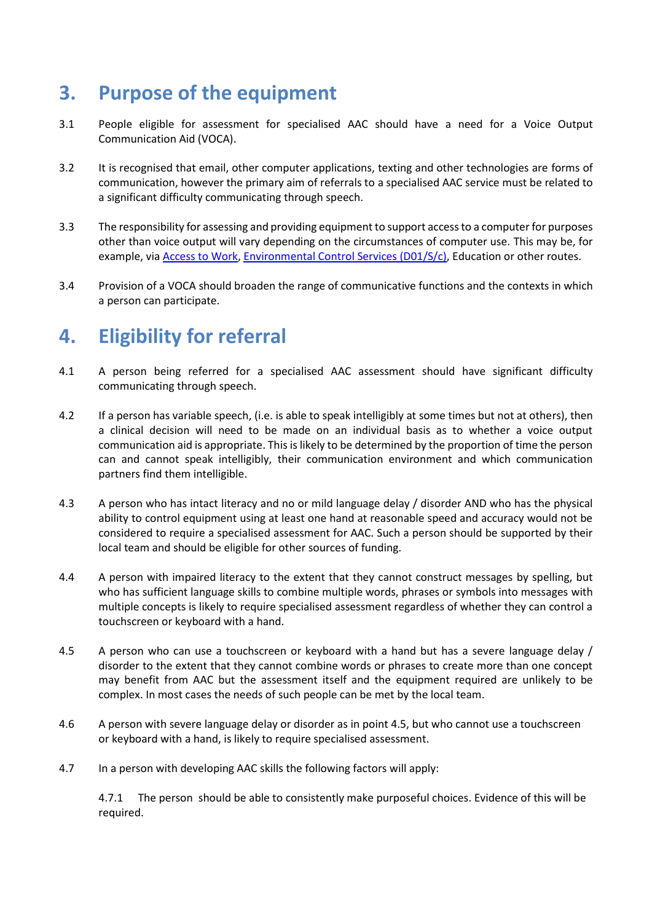### **3. Purpose of the equipment**

- 3.1 People eligible for assessment for specialised AAC should have a need for a Voice Output Communication Aid (VOCA).
- 3.2 It is recognised that email, other computer applications, texting and other technologies are forms of communication, however the primary aim of referrals to a specialised AAC service must be related to a significant difficulty communicating through speech.
- 3.3 The responsibility for assessing and providing equipment to support access to a computer for purposes other than voice output will vary depending on the circumstances of computer use. This may be, for example, vi[a Access to Work,](https://www.gov.uk/access-to-work/overview) [Environmental Control Services](https://www.england.nhs.uk/wp-content/uploads/2013/06/d01-com-dis-equ-env-con.pdf) (D01/S/c), Education or other routes.
- 3.4 Provision of a VOCA should broaden the range of communicative functions and the contexts in which a person can participate.

# **4. Eligibility for referral**

- 4.1 A person being referred for a specialised AAC assessment should have significant difficulty communicating through speech.
- 4.2 If a person has variable speech, (i.e. is able to speak intelligibly at some times but not at others), then a clinical decision will need to be made on an individual basis as to whether a voice output communication aid is appropriate. This is likely to be determined by the proportion of time the person can and cannot speak intelligibly, their communication environment and which communication partners find them intelligible.
- 4.3 A person who has intact literacy and no or mild language delay / disorder AND who has the physical ability to control equipment using at least one hand at reasonable speed and accuracy would not be considered to require a specialised assessment for AAC. Such a person should be supported by their local team and should be eligible for other sources of funding.
- 4.4 A person with impaired literacy to the extent that they cannot construct messages by spelling, but who has sufficient language skills to combine multiple words, phrases or symbols into messages with multiple concepts is likely to require specialised assessment regardless of whether they can control a touchscreen or keyboard with a hand.
- 4.5 A person who can use a touchscreen or keyboard with a hand but has a severe language delay / disorder to the extent that they cannot combine words or phrases to create more than one concept may benefit from AAC but the assessment itself and the equipment required are unlikely to be complex. In most cases the needs of such people can be met by the local team.
- 4.6 A person with severe language delay or disorder as in point 4.5, but who cannot use a touchscreen or keyboard with a hand, is likely to require specialised assessment.
- 4.7 In a person with developing AAC skills the following factors will apply:

4.7.1 The person should be able to consistently make purposeful choices. Evidence of this will be required.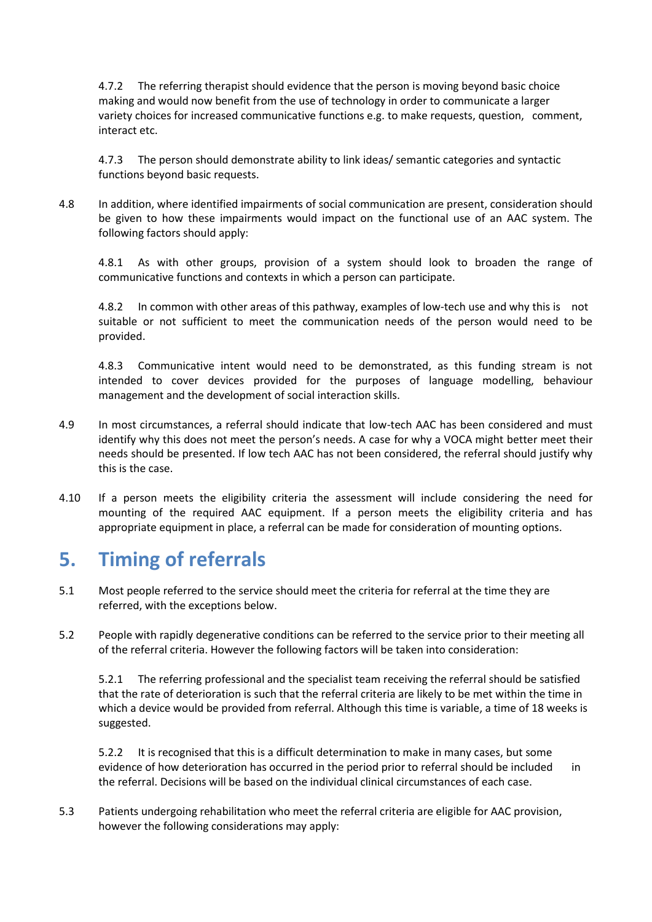4.7.2 The referring therapist should evidence that the person is moving beyond basic choice making and would now benefit from the use of technology in order to communicate a larger variety choices for increased communicative functions e.g. to make requests, question, comment, interact etc.

4.7.3 The person should demonstrate ability to link ideas/ semantic categories and syntactic functions beyond basic requests.

4.8 In addition, where identified impairments of social communication are present, consideration should be given to how these impairments would impact on the functional use of an AAC system. The following factors should apply:

4.8.1 As with other groups, provision of a system should look to broaden the range of communicative functions and contexts in which a person can participate.

4.8.2 In common with other areas of this pathway, examples of low-tech use and why this is not suitable or not sufficient to meet the communication needs of the person would need to be provided.

4.8.3 Communicative intent would need to be demonstrated, as this funding stream is not intended to cover devices provided for the purposes of language modelling, behaviour management and the development of social interaction skills.

- 4.9 In most circumstances, a referral should indicate that low-tech AAC has been considered and must identify why this does not meet the person's needs. A case for why a VOCA might better meet their needs should be presented. If low tech AAC has not been considered, the referral should justify why this is the case.
- 4.10 If a person meets the eligibility criteria the assessment will include considering the need for mounting of the required AAC equipment. If a person meets the eligibility criteria and has appropriate equipment in place, a referral can be made for consideration of mounting options.

## **5. Timing of referrals**

- 5.1 Most people referred to the service should meet the criteria for referral at the time they are referred, with the exceptions below.
- 5.2 People with rapidly degenerative conditions can be referred to the service prior to their meeting all of the referral criteria. However the following factors will be taken into consideration:

5.2.1 The referring professional and the specialist team receiving the referral should be satisfied that the rate of deterioration is such that the referral criteria are likely to be met within the time in which a device would be provided from referral. Although this time is variable, a time of 18 weeks is suggested.

5.2.2 It is recognised that this is a difficult determination to make in many cases, but some evidence of how deterioration has occurred in the period prior to referral should be included in the referral. Decisions will be based on the individual clinical circumstances of each case.

5.3 Patients undergoing rehabilitation who meet the referral criteria are eligible for AAC provision, however the following considerations may apply: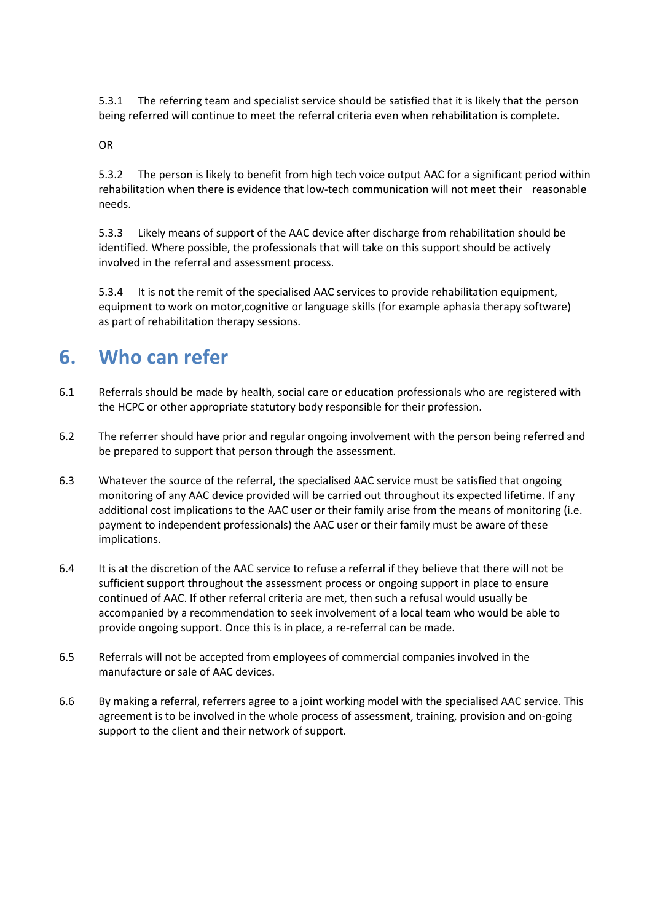5.3.1 The referring team and specialist service should be satisfied that it is likely that the person being referred will continue to meet the referral criteria even when rehabilitation is complete.

OR

5.3.2 The person is likely to benefit from high tech voice output AAC for a significant period within rehabilitation when there is evidence that low-tech communication will not meet their reasonable needs.

5.3.3 Likely means of support of the AAC device after discharge from rehabilitation should be identified. Where possible, the professionals that will take on this support should be actively involved in the referral and assessment process.

5.3.4 It is not the remit of the specialised AAC services to provide rehabilitation equipment, equipment to work on motor,cognitive or language skills (for example aphasia therapy software) as part of rehabilitation therapy sessions.

### **6. Who can refer**

- 6.1 Referrals should be made by health, social care or education professionals who are registered with the HCPC or other appropriate statutory body responsible for their profession.
- 6.2 The referrer should have prior and regular ongoing involvement with the person being referred and be prepared to support that person through the assessment.
- 6.3 Whatever the source of the referral, the specialised AAC service must be satisfied that ongoing monitoring of any AAC device provided will be carried out throughout its expected lifetime. If any additional cost implications to the AAC user or their family arise from the means of monitoring (i.e. payment to independent professionals) the AAC user or their family must be aware of these implications.
- 6.4 It is at the discretion of the AAC service to refuse a referral if they believe that there will not be sufficient support throughout the assessment process or ongoing support in place to ensure continued of AAC. If other referral criteria are met, then such a refusal would usually be accompanied by a recommendation to seek involvement of a local team who would be able to provide ongoing support. Once this is in place, a re-referral can be made.
- 6.5 Referrals will not be accepted from employees of commercial companies involved in the manufacture or sale of AAC devices.
- 6.6 By making a referral, referrers agree to a joint working model with the specialised AAC service. This agreement is to be involved in the whole process of assessment, training, provision and on-going support to the client and their network of support.